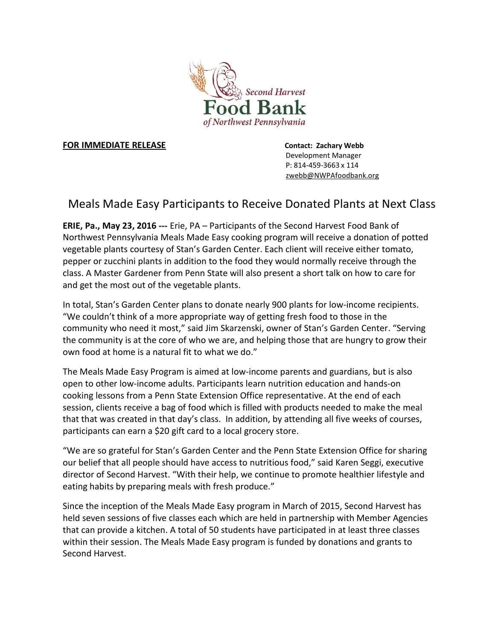

## **FOR IMMEDIATE RELEASE** *CONTACTE <b>RELEASE*

 Development Manager P: 814-459-3663 x 114 zwebb@NWPAfoodbank.org

## Meals Made Easy Participants to Receive Donated Plants at Next Class

**ERIE, Pa., May 23, 2016 ---** Erie, PA – Participants of the Second Harvest Food Bank of Northwest Pennsylvania Meals Made Easy cooking program will receive a donation of potted vegetable plants courtesy of Stan's Garden Center. Each client will receive either tomato, pepper or zucchini plants in addition to the food they would normally receive through the class. A Master Gardener from Penn State will also present a short talk on how to care for and get the most out of the vegetable plants.

In total, Stan's Garden Center plans to donate nearly 900 plants for low-income recipients. "We couldn't think of a more appropriate way of getting fresh food to those in the community who need it most," said Jim Skarzenski, owner of Stan's Garden Center. "Serving the community is at the core of who we are, and helping those that are hungry to grow their own food at home is a natural fit to what we do."

The Meals Made Easy Program is aimed at low-income parents and guardians, but is also open to other low-income adults. Participants learn nutrition education and hands-on cooking lessons from a Penn State Extension Office representative. At the end of each session, clients receive a bag of food which is filled with products needed to make the meal that that was created in that day's class. In addition, by attending all five weeks of courses, participants can earn a \$20 gift card to a local grocery store.

"We are so grateful for Stan's Garden Center and the Penn State Extension Office for sharing our belief that all people should have access to nutritious food," said Karen Seggi, executive director of Second Harvest. "With their help, we continue to promote healthier lifestyle and eating habits by preparing meals with fresh produce."

Since the inception of the Meals Made Easy program in March of 2015, Second Harvest has held seven sessions of five classes each which are held in partnership with Member Agencies that can provide a kitchen. A total of 50 students have participated in at least three classes within their session. The Meals Made Easy program is funded by donations and grants to Second Harvest.